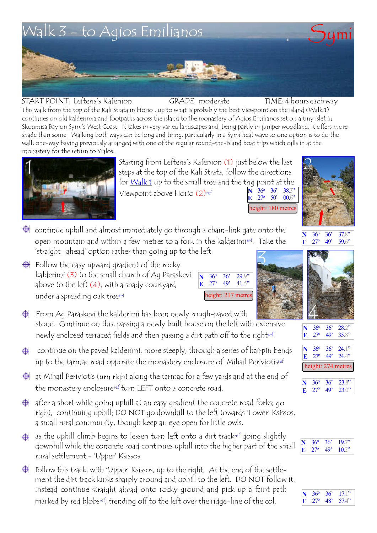

START POINT: Lefteris's Kafenion This walk from the top of the Kali Strata in Horio , up to what is probably the best Viewpoint on the island (Walk 1) continues on old kalderimia and footpaths across the island to the monastery of Agios Emilianos set on a tiny islet in Skoumisa Bay on Symi's West Coast. It takes in very varied landscapes and, being partly in juniper woodland, it offers more shade than some. Walking both ways can be long and tiring, particularly in a Symi heat wave so one option is to do the walk one-way having previously arranged with one of the regular round-the-island boat trips which calls in at the monastery for the return to Yialos.  $GRADE$  moderate  $TIME: 4$  hours each way

Starting from Lefteris's Kafenion (1) just below the last steps at the top of the Kali Strata, follow the directions for <u>Walk 1</u> up to the small tree and the trig point at the Viewpoint above Horio (2)ref **36<sup>o</sup> 36<sup>'</sup> 38.3<sup>'</sup><br>
<b>27<sup>o</sup> 50' 00.**6<sup>'</sup>  $0.6'$ 

height: 180 metres  $\bigoplus$  continue uphill and almost immediately go through a chain-link gate onto the

open mountain and within a few metres to a fork in the kalderimiref. Take the 'straight -ahead' option rather than going up to the left.

 $\bigoplus$  Follow the easy upward gradient of the rocky kalderimi (3) to the small church of Ag Paraskevi above to the left (4), with a shady courtyard under a spreading oak treeref



 $\bigoplus$  From Ag Paraskevi the kalderimi has been newly rough-paved with stone. Continue on this, passing a newly built house on the left with extensive newly enclosed terraced fields and then passing a dirt path off to the rightref .

- continue on the paved kalderimi, more steeply, through a series of hairpin bends ⊕ up to the tarmac road opposite the monastery enclosure of Mihail Periviotisref
- $\bigoplus$  at Mihail Periviotis turn right along the tarmac for a few yards and at the end of the monastery enclosureref turn LEFT onto a concrete road.
- $\bigoplus$  after a short while going uphill at an easy gradient the concrete road forks; go , continuing uphill; DO NOT go downhill to the left towards 'Lower' Ksissos, a small rural community, though keep an eye open for little owls.
- $\bigoplus$  as the uphill climb begins to lessen turn left onto a dirt trackref going slightly downhill while the concrete road continues uphill into the higher part of the small rural settlement - 'Upper' Ksissos
- $\bigoplus$  follow this track, with 'Upper' Ksissos, up to the right; At the end of the settlement the dirt track kinks sharply around and uphill to the left. DO NOT follow it. Instead continue straight ahead onto rocky ground and pick up a faint path marked by red blobsref, trending off to the left over the ridge-line of the col.







| N                  | $36^{\circ}$    | $36^{\circ}$ | 28.2" |  |
|--------------------|-----------------|--------------|-------|--|
| E                  | 27 <sup>°</sup> | 49'          | 35.8" |  |
| N                  | $36^\circ$      | $36^\circ$   | 24.1" |  |
| E                  | 27 <sup>o</sup> | 49'          | 244   |  |
| height: 274 metres |                 |              |       |  |
| N                  | 360             | 36'          | 23.8" |  |

| $N = 36^{\circ}$ | $36'$ 23.8"                              |
|------------------|------------------------------------------|
|                  | <b>E</b> $27^{\circ}$ 49' $23.0^{\circ}$ |
|                  |                                          |

| N | $36^\circ$                   | $-36'$ | 19.7 |
|---|------------------------------|--------|------|
|   | $\mathbb{E}$ 27 <sup>o</sup> | 49'    | 10.2 |

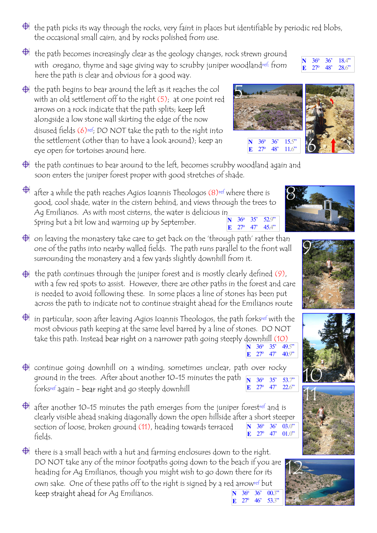- $\bigoplus$  the path picks its way through the rocks, very faint in places but identifiable by periodic red blobs, the occasional small cairn, and by rocks polished from use.
- $\bigoplus$  the path becomes increasingly clear as the geology changes, rock strewn ground with oregano, thyme and sage giving way to scrubby juniper woodlandref; from here the path is clear and obvious for a good way.
- $\bigoplus$  the path begins to bear around the left as it reaches the col with an old settlement off to the right (5); at one point red arrows on a rock indicate that the path splits; keep left alongside a low stone wall skirting the edge of the now disused fields (6)ref; DO NOT take the path to the right into the settlement (other than to have a look around); keep an eye open for tortoises around here.
- $\bigoplus$  the path continues to bear around to the left, becomes scrubby woodland again and soon enters the juniper forest proper with good stretches of shade.
- after a while the path reaches Agios Ioannis Theologos (8)ref where there is good, cool shade, water in the cistern behind, and views through the trees to Ag Emilianos. As with most cisterns, the water is delicious in Spring but a bit low and warming up by September.<br> **N** 36<sup>o</sup> 35' 52.9"<br> **E** 27<sup>o</sup> 47' 45.4"
- $\bigoplus$  on leaving the monastery take care to get back on the 'through path' rather than one of the paths into nearby walled fields. The path runs parallel to the front wall surrounding the monastery and a few yards slightly downhill from it.
- $\bigoplus$  the path continues through the juniper forest and is mostly clearly defined (9), with a few red spots to assist. However, there are other paths in the forest and care is needed to avoid following these. In some places a line of stones has been put across the path to indicate not to continue straight ahead for the Emilianos route
- $\bigoplus$  in particular, soon after leaving Agios Ioannis Theologos, the path forksref with the most obvious path keeping at the same level barred by a line of stones. DO NOT take this path. Instead bear right on a narrower path going steeply downhill  $(10)$ <br>N  $36^{\circ}$   $35^{\circ}$   $49.5^{\circ}$ 36<sup>o</sup> 35<sup>'</sup>
- $\bigoplus$  continue going downhill on a winding, sometimes unclear, path over rocky ground in the trees. After about another 10-15 minutes the path  $\overline{N}$   $\overline{36^o}$   $\overline{35'}$   $\overline{53.7''}$ forksref again - bear right and go steeply downhill **E** 27<sup>o</sup> 47' 22.6"
- $\bigoplus$  after another 10-15 minutes the path emerges from the juniper forestref and is clearly visible ahead snaking diagonally down the open hillside after a short steeper section of loose, broken ground (11), heading towards terraced fields. **N** 36<sup>o</sup> 36<sup>'</sup> 03.0" **E** 27<sup>o</sup> 47' 01.0"
- $\bigoplus$  there is a small beach with a hut and farming enclosures down to the right. DO NOT take any of the minor footpaths going down to the beach if you are heading for Ag Emilianos, though you might wish to go down there for its own sake. One of these paths off to the right is signed by a red arrowref but keep straight ahead for Ag Emilianos. **N** 36<sup>o</sup> 36<sup>o</sup> 00.3<sup>o</sup> **E** 27<sup>o</sup> 46' 53.3"

















**36<sup>o</sup> 36<sup>'</sup> 15.5<br>
<b>27<sup>o</sup> 48'** 11.6 **E** 27<sup>o</sup> 48' 11.6"

**E** 27<sup>o</sup> 47<sup>'</sup> 40.9<sup>"</sup>